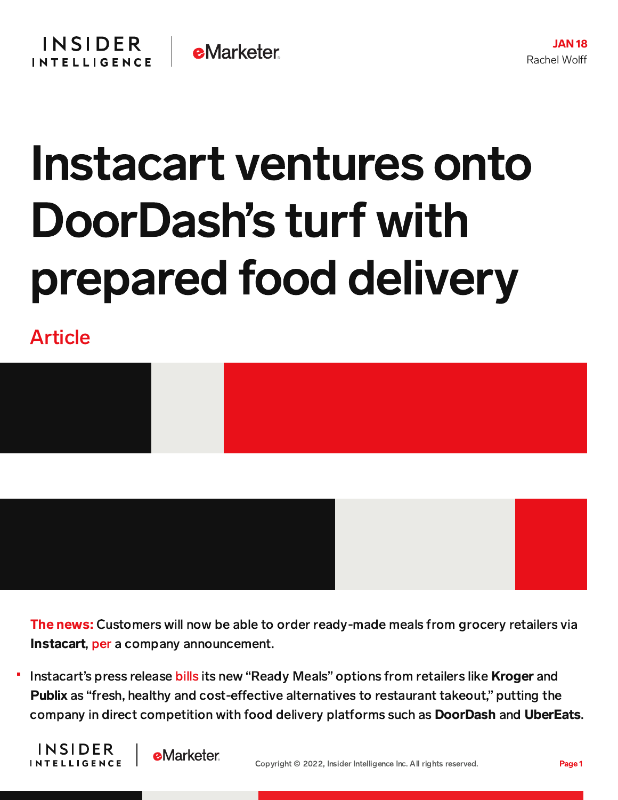## Instacart ventures onto DoorDash's turf with prepared food delivery

Article



The news: Customers will now be able to order ready-made meals from grocery retailers via Instacart, [per](https://www.instacart.com/company/uncategorized/introducingreadymeals/) a company announcement.

Instacart's press release [bills](https://www.instacart.com/company/pressreleases/readymealspressrelease/) its new "Ready Meals" options from retailers like Kroger and Publix as "fresh, healthy and cost-effective alternatives to restaurant takeout," putting the company in direct competition with food delivery platforms such as DoorDash and UberEats.



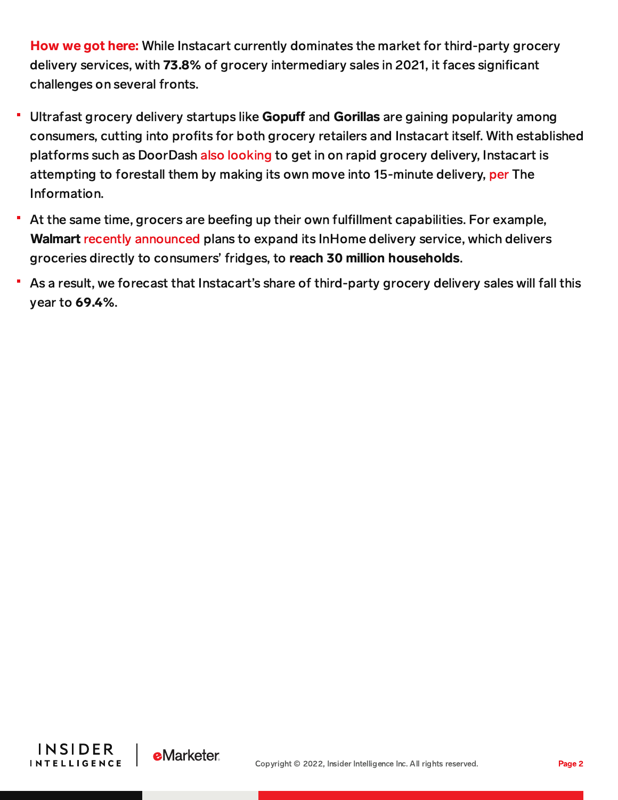How we got here: While Instacart currently dominates the market for third-party grocery delivery services, with 73.8% of grocery intermediary sales in 2021, it faces significant challenges on several fronts.

- Ultrafast grocery delivery startups like Gopuff and Gorillas are gaining popularity among consumers, cutting into profits for both grocery retailers and Instacart itself. With established platforms such as DoorDash also [looking](https://www.businessinsider.com/inside-new-york-citys-6-ultrafast-grocery-delivery-operators-2021-10) to get in on rapid grocery delivery, Instacart is attempting to forestall them by making its own move into 15-minute delivery, [per](https://www.theinformation.com/articles/instacart-plans-15-minute-delivery-trial-as-rival-startups-grow?rc=2ahtrk) The Information.
- At the same time, grocers are beefing up their own fulfillment capabilities. For example, Walmart recently [announced](https://www.cnbc.com/2022/01/05/walmart-expands-its-direct-to-fridge-inhome-delivery-service-to-30-million-homes.html) plans to expand its InHome delivery service, which delivers groceries directly to consumers' fridges, to reach 30 million households.
- As a result, we forecast that Instacart's share of third-party grocery delivery sales will fall this year to 69.4%.



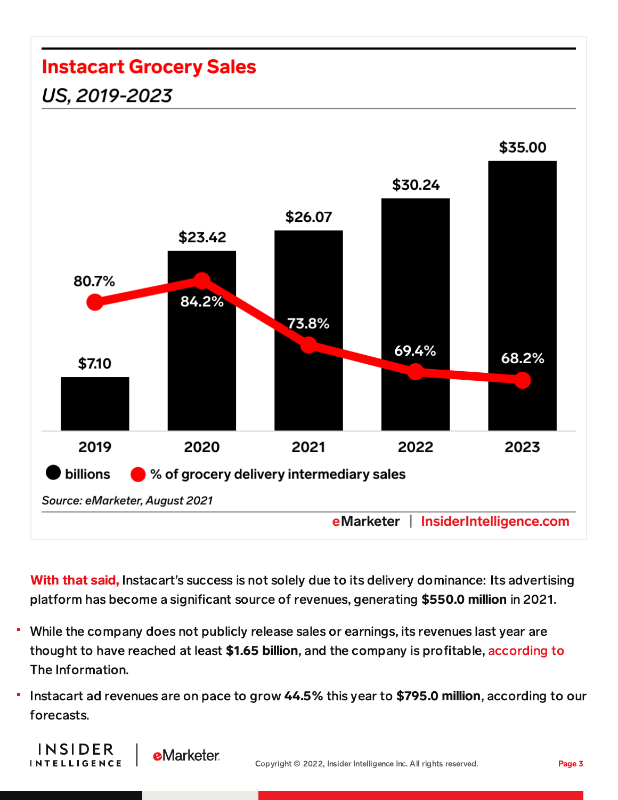## **Instacart Grocery Sales** US, 2019-2023 \$35.00 \$30.24 \$26.07 \$23.42 80.7% 84.2% 73.8% 69.4% 68.2% \$7.10 2019 2020 2021 2022 2023 billions % of grocery delivery intermediary sales Source: eMarketer, August 2021 eMarketer | InsiderIntelligence.com

With that said, Instacart's success is not solely due to its delivery dominance: Its advertising platform has become a significant source of revenues, generating \$550.0 million in 2021.

- While the company does not publicly release sales or earnings, its revenues last year are thought to have reached at least \$1.65 billion, and the company is profitable, [according](https://www.theinformation.com/articles/instacart-pushes-off-public-offering-to-focus-on-grocery-services-growth?rc=2ahtrk) to The Information.
- Instacart ad revenues are on pace to grow 44.5% this year to \$795.0 million, according to our forecasts.

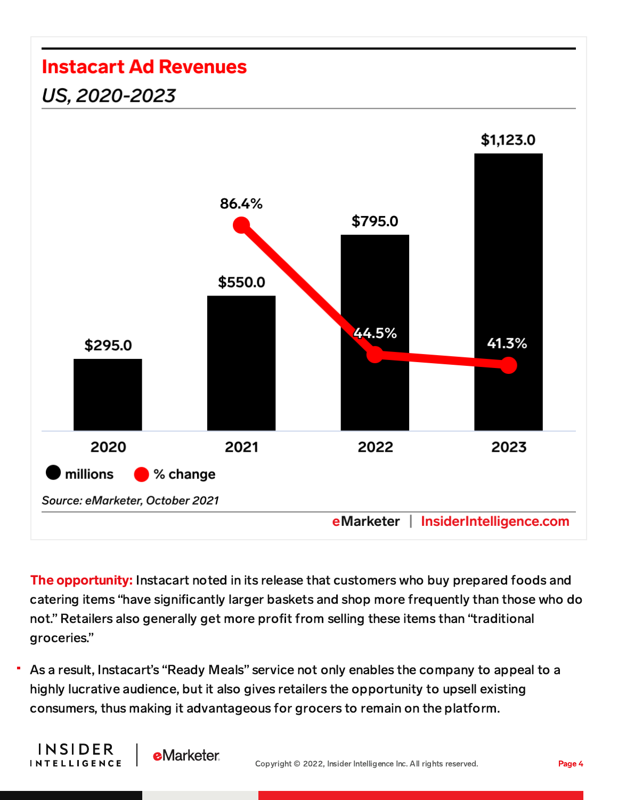## **Instacart Ad Revenues**

## US, 2020-2023



The opportunity: Instacart noted in its release that customers who buy prepared foods and catering items "have significantly larger baskets and shop more frequently than those who do not." Retailers also generally get more profit from selling these items than "traditional groceries."

As a result, Instacart's "Ready Meals" service not only enables the company to appeal to a highly lucrative audience, but it also gives retailers the opportunity to upsell existing consumers, thus making it advantageous for grocers to remain on the platform.